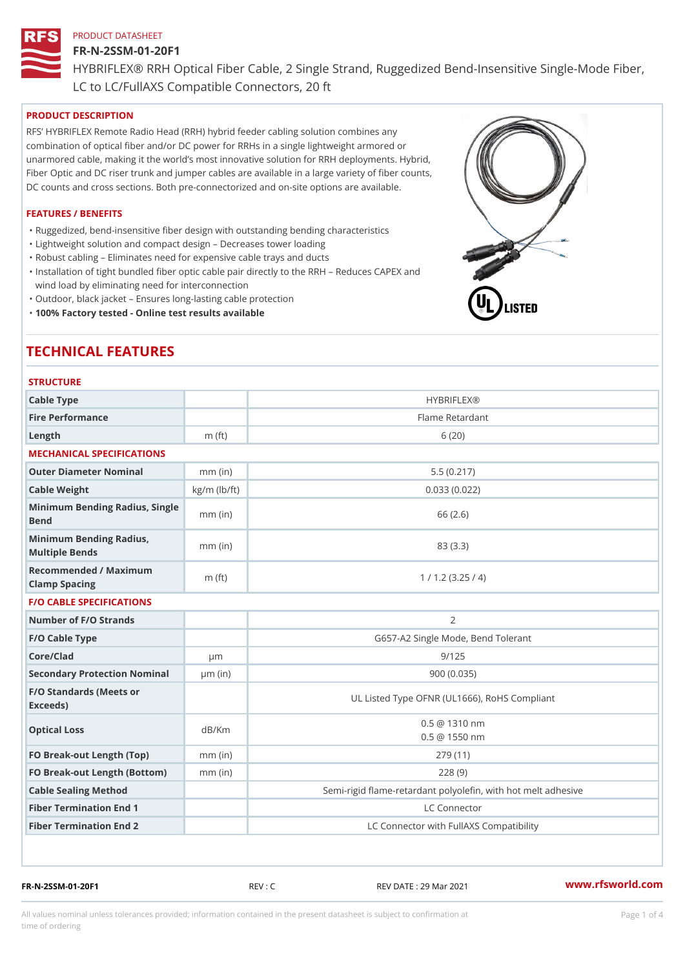### FR-N-2SSM-01-20F1

HYBRIFLEX® RRH Optical Fiber Cable, 2 Single Strand, Ruggedized Be

LC to LC/FullAXS Compatible Connectors, 20 ft

# PRODUCT DESCRIPTION

RFS HYBRIFLEX Remote Radio Head (RRH) hybrid feeder cabling solution combines any combination of optical fiber and/or DC power for RRHs in a single lightweight armored or unarmored cable, making it the world s most innovative solution for RRH deployments. Hybrid, Fiber Optic and DC riser trunk and jumper cables are available in a large variety of fiber counts, DC counts and cross sections. Both pre-connectorized and on-site options are available.

### FEATURES / BENEFITS

"Ruggedized, bend-insensitive fiber design with outstanding bending characteristics

- "Lightweight solution and compact design Decreases tower loading
- "Robust cabling Eliminates need for expensive cable trays and ducts
- "Installation of tight bundled fiber optic cable pair directly to the RRH Aeduces CAPEX and wind load by eliminating need for interconnection
- "Outdoor, black jacket Ensures long-lasting cable protection
- "100% Factory tested Online test results available

# TECHNICAL FEATURES

# STRUCTURE

| 0 I N U U I U N L                                 |                    |                                                          |
|---------------------------------------------------|--------------------|----------------------------------------------------------|
| Cable Type                                        |                    | <b>HYBRIFLEX®</b>                                        |
| Fire Performance                                  |                    | Flame Retardant                                          |
| Length                                            | $m$ (ft)           | 6(20)                                                    |
| MECHANICAL SPECIFICATIONS                         |                    |                                                          |
| Outer Diameter Nominal                            | $mm$ (in)          | 5.5(0.217)                                               |
| Cable Weight                                      | $kg/m$ ( $lb/ft$ ) | 0.033(0.022)                                             |
| Minimum Bending Radius, Single<br>Bend            |                    | 66 (2.6)                                                 |
| Minimum Bending Radius, mm (in)<br>Multiple Bends |                    | 83 (3.3)                                                 |
| Recommended / Maximum<br>Clamp Spacing            | m $(ft)$           | 1 / 1.2 (3.25 / 4)                                       |
| <b>F/O CABLE SPECIFICATIONS</b>                   |                    |                                                          |
| Number of F/O Strands                             |                    | $\overline{2}$                                           |
| F/O Cable Type                                    |                    | G657-A2 Single Mode, Bend Tolerant                       |
| Core/Clad                                         | $\mu$ m            | 9/125                                                    |
| Secondary Protection Nomimal(in)                  |                    | 900 (0.035)                                              |
| F/O Standards (Meets or<br>Exceeds)               |                    | UL Listed Type OFNR (UL1666), RoHS Compliant             |
| Optical Loss                                      | dB/Km              | $0.5 \ @ \ 1310 \ nm$<br>$0.5 \t@ 1550 nm$               |
| FO Break-out Length (Top)mm (in)                  |                    | 279 (11)                                                 |
| FO Break-out Length (Bottomm) (in)                |                    | 228(9)                                                   |
| Cable Sealing Method                              |                    | Semi-rigid flame-retardant polyolefin, with hot melt adl |
| Fiber Termination End                             |                    | LC Connector                                             |
| Fiber Termination End 2                           |                    | LC Connector with FullAXS Compatibility                  |

FR-N-2SSM-01-20F1 REV : C REV DATE : 29 Mar 2021 [www.](https://www.rfsworld.com)rfsworld.com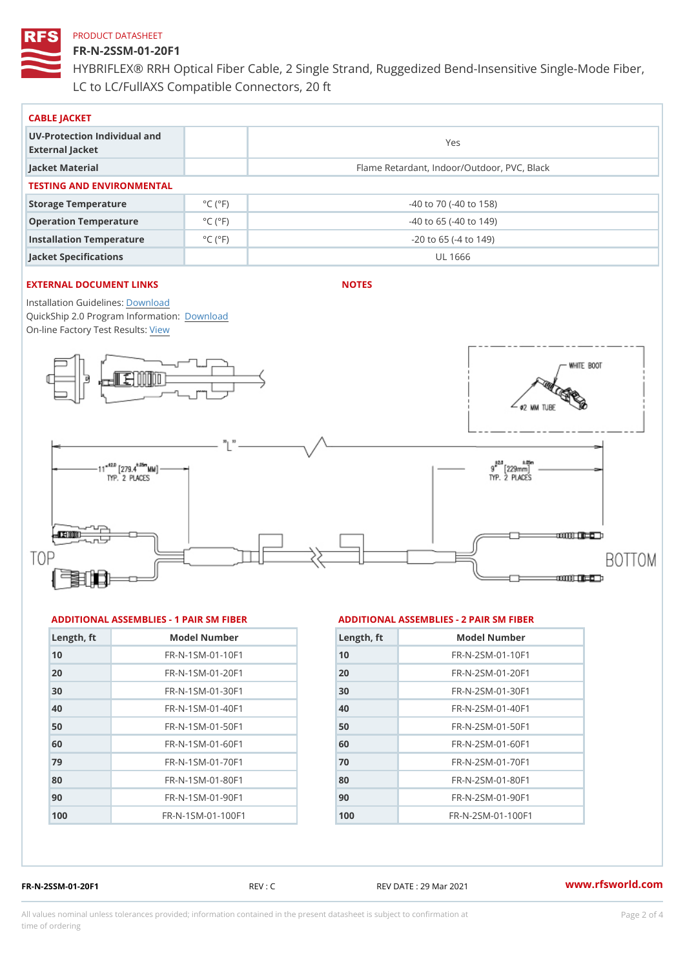### FR-N-2SSM-01-20F1

HYBRIFLEX® RRH Optical Fiber Cable, 2 Single Strand, Ruggedized Be LC to LC/FullAXS Compatible Connectors, 20 ft

| CABLE JACKET                                    |                              |                                             |  |  |  |
|-------------------------------------------------|------------------------------|---------------------------------------------|--|--|--|
| UV-Protection Individual and<br>External Jacket |                              | Yes                                         |  |  |  |
| Jacket Material                                 |                              | Flame Retardant, Indoor/Outdoor, PVC, Black |  |  |  |
| TESTING AND ENVIRONMENTAL                       |                              |                                             |  |  |  |
| Storage Temperature                             | $^{\circ}$ C ( $^{\circ}$ F) | $-40$ to $70$ ( $-40$ to $158$ )            |  |  |  |
| Operation Temperature                           | $^{\circ}$ C ( $^{\circ}$ F  | $-40$ to 65 ( $-40$ to 149)                 |  |  |  |
| Installation Temperature                        | $^{\circ}$ C ( $^{\circ}$ F  | $-20$ to 65 ( $-4$ to 149)                  |  |  |  |
| Jacket Specifications                           |                              | UL 1666                                     |  |  |  |

### EXTERNAL DOCUMENT LINKS

NOTES

Installation Guidelwinessad QuickShip 2.0 Program [Informa](http://www.rfsworld.com/images/hybriflex/quickship_program_2.pdf)tion: On-line Factory Te[s](https://www.rfsworld.com/pictures/userfiles/programs/AAST Latest Version.zip)teResults:

#### ADDITIONAL ASSEMBLIES - 1 PAIR SM FIBERED DITIONAL ASSEMBLIES - 2 PAIR SM FIBER

| Length, ft | Model Number                   |
|------------|--------------------------------|
| 10         | FR-N-1SM-01-10F1               |
| 20         | FR-N-1SM-01-20F1               |
| 30         | $FR - N - 1$ S M - 01 - 30 F 1 |
| 40         | FR-N-1SM-01-40F1               |
| 50         | FR-N-1SM-01-50F1               |
| 60         | $FR - N - 1$ S M - 01 - 60 F 1 |
| 79         | $FR - N - 1$ S M - 01 - 70 F 1 |
| 80         | FR-N-1SM-01-80F1               |
| 90         | FR-N-1SM-01-90F1               |
| 100        | FR-N-1SM-01-100F1              |

| Length, ft | Model Number                  |
|------------|-------------------------------|
| 10         | $FR - N - 2 SM - 01 - 10 F1$  |
| 20         | $FR - N - 2 SM - 01 - 20 F1$  |
| 30         | $FR - N - 2 S M - 01 - 30 F1$ |
| 40         | $FR - N - 2 SM - 01 - 40 F1$  |
| 50         | $FR - N - 2 SM - 01 - 50 F1$  |
| 60         | $FR - N - 2 S M - 01 - 60 F1$ |
| 70         | FR-N-2SM-01-70F1              |
| 80         | $FR - N - 2 S M - 01 - 80 F1$ |
| 90         | FR-N-2SM-01-90F1              |
| 100        | $FR - N - 2 SM - 01 - 100 F1$ |

FR-N-2SSM-01-20F1 REV : C REV DATE : 29 Mar 2021 [www.](https://www.rfsworld.com)rfsworld.com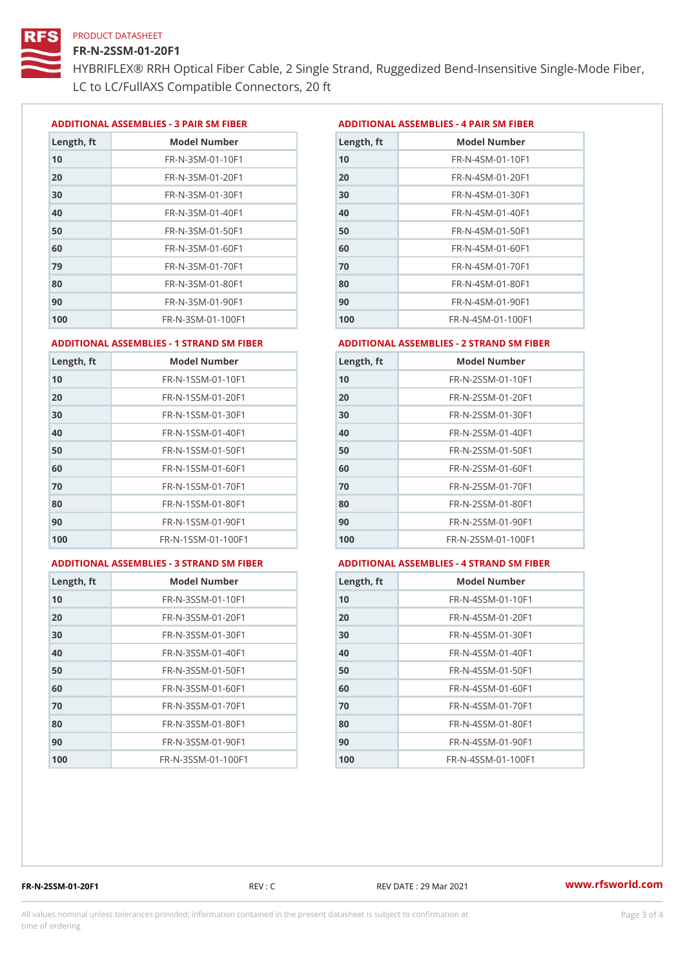### FR-N-2SSM-01-20F1

HYBRIFLEX® RRH Optical Fiber Cable, 2 Single Strand, Ruggedized Be LC to LC/FullAXS Compatible Connectors, 20 ft

ADDITIONAL ASSEMBLIES - 3 PAIR SM FIBERED DITIONAL ASSEMBLIES - 4 PAIR SM FIBER

| Length, ft | Model Number                   |
|------------|--------------------------------|
| 10         | $FR - N - 3 S M - 01 - 10 F1$  |
| 20         | FR-N-3SM-01-20F1               |
| 30         | FR-N-3SM-01-30F1               |
| 40         | $FR - N - 3 S M - 01 - 40 F1$  |
| 50         | FR-N-3SM-01-50F1               |
| 60         | $FR - N - 3 S M - 01 - 60 F1$  |
| 79         | $FR - N - 3 S M - 01 - 70 F1$  |
| 80         | $FR - N - 3 S M - 01 - 80 F1$  |
| 90         | FR-N-3SM-01-90F1               |
| 100        | $FR - N - 3 S M - 01 - 100 F1$ |

| Length, ft | Model Number                   |
|------------|--------------------------------|
| 10         | FR-N-4SM-01-10F1               |
| 20         | $FR - N - 4 SM - 01 - 20 F1$   |
| 30         | $FR - N - 4 S M - 01 - 30 F1$  |
| 40         | $FR - N - 4 SM - 01 - 40 F1$   |
| 50         | FR-N-4SM-01-50F1               |
| 60         | $FR - N - 4 SM - 01 - 60 F1$   |
| 70         | FR-N-4SM-01-70F1               |
| 80         | $FR - N - 4 S M - 01 - 80 F1$  |
| 90         | FR-N-4SM-01-90F1               |
| 100        | $FR - N - 4 S M - 01 - 100 F1$ |

#### ADDITIONAL ASSEMBLIES - 1 STRAND SM FABSDRTIONAL ASSEMBLIES - 2 STRAND SM FIBER

| Length, ft | Model Number                     | Length, ft | Model Number                |
|------------|----------------------------------|------------|-----------------------------|
| 10         | FR-N-1SSM-01-10F1                | 10         | FR-N-2SSM-01-10F1           |
| 20         | FR-N-1SSM-01-20F1                | 20         | FR-N-2SSM-01-20F1           |
| 30         | FR-N-1SSM-01-30F1                | 30         | FR-N-2SSM-01-30F1           |
| 40         | $FR - N - 1$ S S M - 01 - 40 F 1 | 40         | $FR - N - 2SSM - 01 - 40F1$ |
| 50         | $FR - N - 1$ S S M - 01 - 50 F 1 | 50         | $FR - N - 2SSM - 01 - 50F1$ |
| 60         | FR-N-1SSM-01-60F1                | 60         | $FR - N - 2SSM - 01 - 60F1$ |
| 70         | $FR - N - 1$ S S M - 01 - 70 F 1 | 70         | $FR - N - 2SSM - 01 - 70F1$ |
| 80         | FR-N-1SSM-01-80F1                | 80         | FR-N-2SSM-01-80F1           |
| 90         | FR-N-1SSM-01-90F1                | 90         | $FR - N - 2SSM - 01 - 90F1$ |
| 100        | FR-N-1SSM-01-100F1               | 100        | FR-N-2SSM-01-100F1          |
|            |                                  |            |                             |

#### ADDITIONAL ASSEMBLIES - 3 STRAND SM FABSDRTIONAL ASSEMBLIES - 4 STRAND SM FIBER

| Length, ft | Model Number                    |
|------------|---------------------------------|
| 10         | $FR - N - 3 S S M - 01 - 10 F1$ |
| 20         | FR-N-3SSM-01-20F1               |
| 30         | FR-N-3SSM-01-30F1               |
| 40         | FR-N-3SSM-01-40F1               |
| 50         | FR-N-3SSM-01-50F1               |
| 60         | $FR - N - 3 S S M - 01 - 60 F1$ |
| 70         | $FR - N - 3 S S M - 01 - 70 F1$ |
| 80         | $FR - N - 3 S S M - 01 - 80 F1$ |
| 90         | FR-N-3SSM-01-90F1               |
| 100        | FR-N-3SSM-01-100F1              |

| Length, ft | Model Number                     |
|------------|----------------------------------|
| 10         | $FR - N - 4$ S S M - 01 - 10 F 1 |
| 20         | FR-N-4SSM-01-20F1                |
| 30         | $FR - N - 4$ S S M - 01 - 30 F 1 |
| 40         | $FR - N - 4 S S M - 01 - 40 F1$  |
| 50         | $FR - N - 4$ S S M - 01 - 50 F 1 |
| 60         | FR-N-4SSM-01-60F1                |
| 70         | $FR - N - 4$ S S M - 01 - 70 F 1 |
| 80         | FR-N-4SSM-01-80F1                |
| 90         | FR-N-4SSM-01-90F1                |
| 100        | FR-N-4SSM-01-100F1               |

FR-N-2SSM-01-20F1 REV : C REV DATE : 29 Mar 2021 [www.](https://www.rfsworld.com)rfsworld.com

All values nominal unless tolerances provided; information contained in the present datasheet is subject to Pcapgeling that i time of ordering